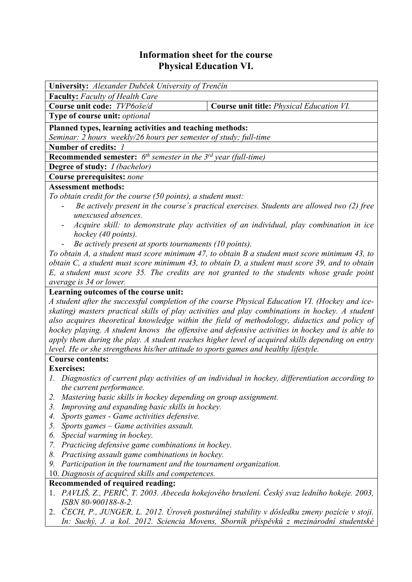## **Information sheet for the course Physical Education VI.**

| University: Alexander Dubček University of Trenčín                                                                                                                                                 |                                                                                                  |  |  |  |  |  |
|----------------------------------------------------------------------------------------------------------------------------------------------------------------------------------------------------|--------------------------------------------------------------------------------------------------|--|--|--|--|--|
| <b>Faculty:</b> Faculty of Health Care                                                                                                                                                             |                                                                                                  |  |  |  |  |  |
| Course unit code: TVP60še/d                                                                                                                                                                        | Course unit title: Physical Education VI.                                                        |  |  |  |  |  |
| Type of course unit: optional                                                                                                                                                                      |                                                                                                  |  |  |  |  |  |
| Planned types, learning activities and teaching methods:                                                                                                                                           |                                                                                                  |  |  |  |  |  |
| Seminar: 2 hours weekly/26 hours per semester of study; full-time                                                                                                                                  |                                                                                                  |  |  |  |  |  |
| Number of credits: 1                                                                                                                                                                               |                                                                                                  |  |  |  |  |  |
| <b>Recommended semester:</b> $6^{th}$ semester in the $3^{rd}$ year (full-time)                                                                                                                    |                                                                                                  |  |  |  |  |  |
| <b>Degree of study:</b> <i>I (bachelor)</i>                                                                                                                                                        |                                                                                                  |  |  |  |  |  |
| <b>Course prerequisites: none</b>                                                                                                                                                                  |                                                                                                  |  |  |  |  |  |
| <b>Assessment methods:</b>                                                                                                                                                                         |                                                                                                  |  |  |  |  |  |
| To obtain credit for the course (50 points), a student must:                                                                                                                                       |                                                                                                  |  |  |  |  |  |
| Be actively present in the course's practical exercises. Students are allowed two (2) free                                                                                                         |                                                                                                  |  |  |  |  |  |
| unexcused absences.                                                                                                                                                                                |                                                                                                  |  |  |  |  |  |
| Acquire skill: to demonstrate play activities of an individual, play combination in ice                                                                                                            |                                                                                                  |  |  |  |  |  |
| hockey (40 points).                                                                                                                                                                                |                                                                                                  |  |  |  |  |  |
| Be actively present at sports tournaments (10 points).                                                                                                                                             |                                                                                                  |  |  |  |  |  |
| To obtain A, a student must score minimum 47, to obtain B a student must score minimum 43, to                                                                                                      |                                                                                                  |  |  |  |  |  |
| obtain C, a student must score minimum 43, to obtain D, a student must score 39, and to obtain                                                                                                     |                                                                                                  |  |  |  |  |  |
|                                                                                                                                                                                                    | E, a student must score 35. The credits are not granted to the students whose grade point        |  |  |  |  |  |
| average is 34 or lower.                                                                                                                                                                            |                                                                                                  |  |  |  |  |  |
| Learning outcomes of the course unit:                                                                                                                                                              |                                                                                                  |  |  |  |  |  |
| A student after the successful completion of the course Physical Education VI. (Hockey and ice-<br>skating) masters practical skills of play activities and play combinations in hockey. A student |                                                                                                  |  |  |  |  |  |
|                                                                                                                                                                                                    | also acquires theoretical knowledge within the field of methodology, didactics and policy of     |  |  |  |  |  |
|                                                                                                                                                                                                    | hockey playing. A student knows the offensive and defensive activities in hockey and is able to  |  |  |  |  |  |
|                                                                                                                                                                                                    | apply them during the play. A student reaches higher level of acquired skills depending on entry |  |  |  |  |  |
| level. He or she strengthens his/her attitude to sports games and healthy lifestyle.                                                                                                               |                                                                                                  |  |  |  |  |  |
| <b>Course contents:</b>                                                                                                                                                                            |                                                                                                  |  |  |  |  |  |
| <b>Exercises:</b>                                                                                                                                                                                  |                                                                                                  |  |  |  |  |  |
| 1. Diagnostics of current play activities of an individual in hockey, differentiation according to                                                                                                 |                                                                                                  |  |  |  |  |  |
| the current performance.                                                                                                                                                                           |                                                                                                  |  |  |  |  |  |
| Mastering basic skills in hockey depending on group assignment.<br>2.                                                                                                                              |                                                                                                  |  |  |  |  |  |
| Improving and expanding basic skills in hockey.<br>3.                                                                                                                                              |                                                                                                  |  |  |  |  |  |
| Sports games - Game activities defensive.<br>4.                                                                                                                                                    |                                                                                                  |  |  |  |  |  |
| Sports games $-$ Game activities assault.<br>5.                                                                                                                                                    |                                                                                                  |  |  |  |  |  |
| Special warming in hockey.<br>6.                                                                                                                                                                   |                                                                                                  |  |  |  |  |  |
| 7. Practicing defensive game combinations in hockey.                                                                                                                                               |                                                                                                  |  |  |  |  |  |
| Practising assault game combinations in hockey.<br>8.                                                                                                                                              |                                                                                                  |  |  |  |  |  |
| Participation in the tournament and the tournament organization.<br>9.                                                                                                                             |                                                                                                  |  |  |  |  |  |
| 10. Diagnosis of acquired skills and competences.                                                                                                                                                  |                                                                                                  |  |  |  |  |  |
| Recommended of required reading:                                                                                                                                                                   | 1. PAVLIŠ, Z., PERIČ, T. 2003. Abeceda hokejového bruslení. Český svaz ledního hokeje. 2003,     |  |  |  |  |  |
| ISBN 80-900188-8-2.                                                                                                                                                                                |                                                                                                  |  |  |  |  |  |
|                                                                                                                                                                                                    | 2. ČECH, P., JUNGER, L. 2012. Úroveň posturálnej stability v dôsledku zmeny pozície v stoji.     |  |  |  |  |  |
|                                                                                                                                                                                                    | In: Suchý, J. a kol. 2012. Sciencia Movens, Sborník příspěvků z mezinárodní studentské           |  |  |  |  |  |